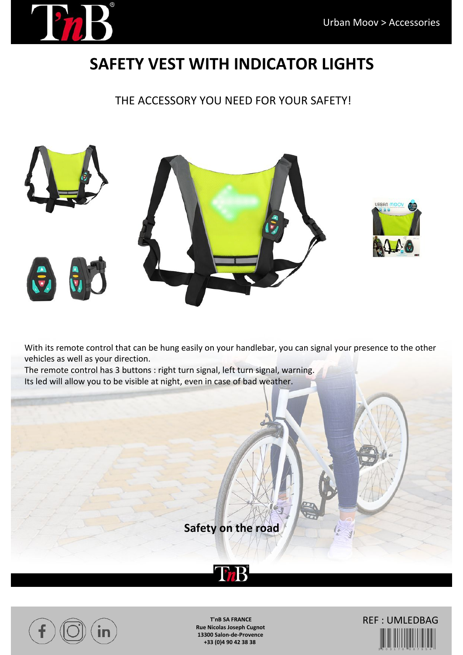

## **SAFETY VEST WITH INDICATOR LIGHTS**

THE ACCESSORY YOU NEED FOR YOUR SAFETY!



With its remote control that can be hung easily on your handlebar, you can signal your presence to the other vehicles as well as your direction.

The remote control has 3 buttons : right turn signal, left turn signal, warning. Its led will allow you to be visible at night, even in case of bad weather.

**Safety on the road**





**T'nB SA FRANCE Rue Nicolas Joseph Cugnot 13300 Salon-de-Provence +33 (0)4 90 42 38 38**